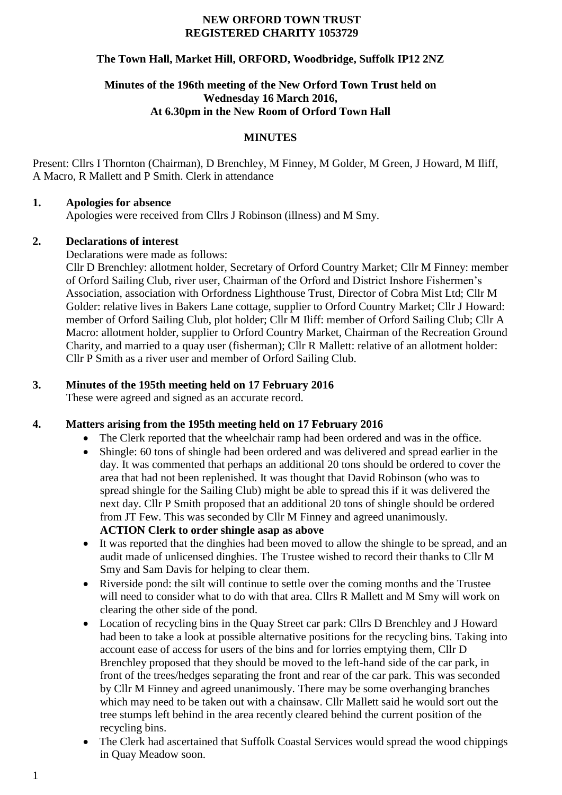#### **NEW ORFORD TOWN TRUST REGISTERED CHARITY 1053729**

## **The Town Hall, Market Hill, ORFORD, Woodbridge, Suffolk IP12 2NZ**

### **Minutes of the 196th meeting of the New Orford Town Trust held on Wednesday 16 March 2016, At 6.30pm in the New Room of Orford Town Hall**

## **MINUTES**

Present: Cllrs I Thornton (Chairman), D Brenchley, M Finney, M Golder, M Green, J Howard, M Iliff, A Macro, R Mallett and P Smith. Clerk in attendance

## **1. Apologies for absence**

Apologies were received from Cllrs J Robinson (illness) and M Smy.

## **2. Declarations of interest**

Declarations were made as follows:

Cllr D Brenchley: allotment holder, Secretary of Orford Country Market; Cllr M Finney: member of Orford Sailing Club, river user, Chairman of the Orford and District Inshore Fishermen's Association, association with Orfordness Lighthouse Trust, Director of Cobra Mist Ltd; Cllr M Golder: relative lives in Bakers Lane cottage, supplier to Orford Country Market; Cllr J Howard: member of Orford Sailing Club, plot holder; Cllr M Iliff: member of Orford Sailing Club; Cllr A Macro: allotment holder, supplier to Orford Country Market, Chairman of the Recreation Ground Charity, and married to a quay user (fisherman); Cllr R Mallett: relative of an allotment holder: Cllr P Smith as a river user and member of Orford Sailing Club.

# **3. Minutes of the 195th meeting held on 17 February 2016**

These were agreed and signed as an accurate record.

# **4. Matters arising from the 195th meeting held on 17 February 2016**

- The Clerk reported that the wheelchair ramp had been ordered and was in the office.
- Shingle: 60 tons of shingle had been ordered and was delivered and spread earlier in the day. It was commented that perhaps an additional 20 tons should be ordered to cover the area that had not been replenished. It was thought that David Robinson (who was to spread shingle for the Sailing Club) might be able to spread this if it was delivered the next day. Cllr P Smith proposed that an additional 20 tons of shingle should be ordered from JT Few. This was seconded by Cllr M Finney and agreed unanimously. **ACTION Clerk to order shingle asap as above**
- It was reported that the dinghies had been moved to allow the shingle to be spread, and an audit made of unlicensed dinghies. The Trustee wished to record their thanks to Cllr M Smy and Sam Davis for helping to clear them.
- Riverside pond: the silt will continue to settle over the coming months and the Trustee will need to consider what to do with that area. Cllrs R Mallett and M Smy will work on clearing the other side of the pond.
- Location of recycling bins in the Quay Street car park: Cllrs D Brenchley and J Howard had been to take a look at possible alternative positions for the recycling bins. Taking into account ease of access for users of the bins and for lorries emptying them, Cllr D Brenchley proposed that they should be moved to the left-hand side of the car park, in front of the trees/hedges separating the front and rear of the car park. This was seconded by Cllr M Finney and agreed unanimously. There may be some overhanging branches which may need to be taken out with a chainsaw. Cllr Mallett said he would sort out the tree stumps left behind in the area recently cleared behind the current position of the recycling bins.
- The Clerk had ascertained that Suffolk Coastal Services would spread the wood chippings in Quay Meadow soon.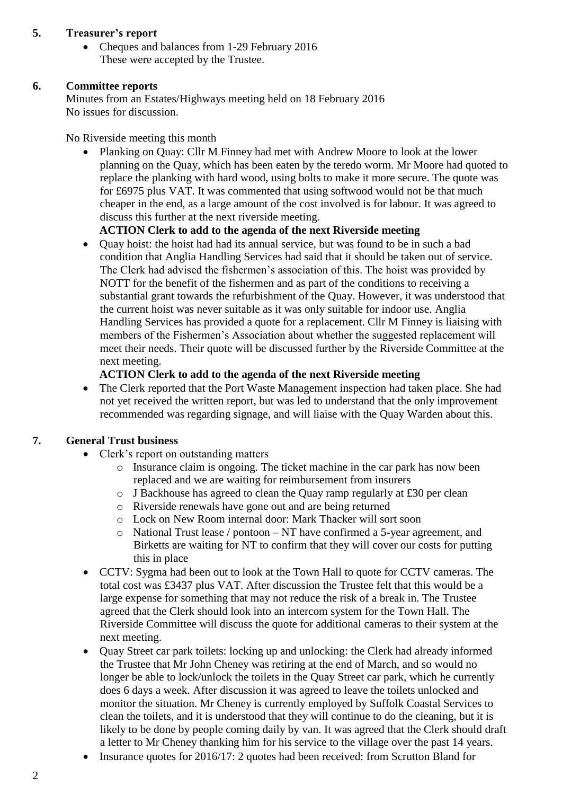### **5. Treasurer's report**

• Cheques and balances from 1-29 February 2016 These were accepted by the Trustee.

### **6. Committee reports**

Minutes from an Estates/Highways meeting held on 18 February 2016 No issues for discussion.

No Riverside meeting this month

• Planking on Quay: Cllr M Finney had met with Andrew Moore to look at the lower planning on the Quay, which has been eaten by the teredo worm. Mr Moore had quoted to replace the planking with hard wood, using bolts to make it more secure. The quote was for £6975 plus VAT. It was commented that using softwood would not be that much cheaper in the end, as a large amount of the cost involved is for labour. It was agreed to discuss this further at the next riverside meeting.

### **ACTION Clerk to add to the agenda of the next Riverside meeting**

 Quay hoist: the hoist had had its annual service, but was found to be in such a bad condition that Anglia Handling Services had said that it should be taken out of service. The Clerk had advised the fishermen's association of this. The hoist was provided by NOTT for the benefit of the fishermen and as part of the conditions to receiving a substantial grant towards the refurbishment of the Quay. However, it was understood that the current hoist was never suitable as it was only suitable for indoor use. Anglia Handling Services has provided a quote for a replacement. Cllr M Finney is liaising with members of the Fishermen's Association about whether the suggested replacement will meet their needs. Their quote will be discussed further by the Riverside Committee at the next meeting.

### **ACTION Clerk to add to the agenda of the next Riverside meeting**

• The Clerk reported that the Port Waste Management inspection had taken place. She had not yet received the written report, but was led to understand that the only improvement recommended was regarding signage, and will liaise with the Quay Warden about this.

### **7. General Trust business**

- Clerk's report on outstanding matters
	- o Insurance claim is ongoing. The ticket machine in the car park has now been replaced and we are waiting for reimbursement from insurers
	- o J Backhouse has agreed to clean the Quay ramp regularly at £30 per clean
	- o Riverside renewals have gone out and are being returned
	- o Lock on New Room internal door: Mark Thacker will sort soon
	- o National Trust lease / pontoon NT have confirmed a 5-year agreement, and Birketts are waiting for NT to confirm that they will cover our costs for putting this in place
- CCTV: Sygma had been out to look at the Town Hall to quote for CCTV cameras. The total cost was £3437 plus VAT. After discussion the Trustee felt that this would be a large expense for something that may not reduce the risk of a break in. The Trustee agreed that the Clerk should look into an intercom system for the Town Hall. The Riverside Committee will discuss the quote for additional cameras to their system at the next meeting.
- Quay Street car park toilets: locking up and unlocking: the Clerk had already informed the Trustee that Mr John Cheney was retiring at the end of March, and so would no longer be able to lock/unlock the toilets in the Quay Street car park, which he currently does 6 days a week. After discussion it was agreed to leave the toilets unlocked and monitor the situation. Mr Cheney is currently employed by Suffolk Coastal Services to clean the toilets, and it is understood that they will continue to do the cleaning, but it is likely to be done by people coming daily by van. It was agreed that the Clerk should draft a letter to Mr Cheney thanking him for his service to the village over the past 14 years.
- Insurance quotes for 2016/17: 2 quotes had been received: from Scrutton Bland for